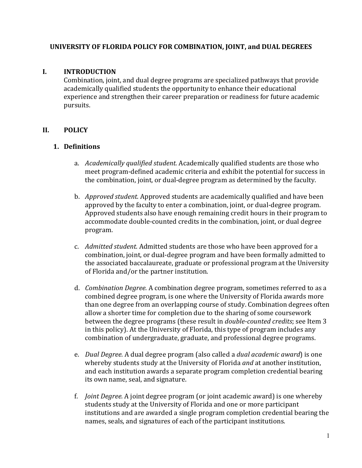### **UNIVERSITY OF FLORIDA POLICY FOR COMBINATION, JOINT, and DUAL DEGREES**

#### **I. INTRODUCTION**

Combination, joint, and dual degree programs are specialized pathways that provide academically qualified students the opportunity to enhance their educational experience and strengthen their career preparation or readiness for future academic pursuits.

## **II. POLICY**

#### **1. Definitions**

- a. *Academically qualified student.* Academically qualified students are those who meet program-defined academic criteria and exhibit the potential for success in the combination, joint, or dual-degree program as determined by the faculty.
- b. *Approved student.* Approved students are academically qualified and have been approved by the faculty to enter a combination, joint, or dual-degree program. Approved students also have enough remaining credit hours in their program to accommodate double-counted credits in the combination, joint, or dual degree program.
- c. *Admitted student.* Admitted students are those who have been approved for a combination, joint, or dual-degree program and have been formally admitted to the associated baccalaureate, graduate or professional program at the University of Florida and/or the partner institution.
- d. *Combination Degree.* A combination degree program, sometimes referred to as a combined degree program, is one where the University of Florida awards more than one degree from an overlapping course of study. Combination degrees often allow a shorter time for completion due to the sharing of some coursework between the degree programs (these result in *double-counted credits*; see Item 3 in this policy). At the University of Florida, this type of program includes any combination of undergraduate, graduate, and professional degree programs.
- e. *Dual Degree.* A dual degree program (also called a *dual academic award*) is one whereby students study at the University of Florida *and* at another institution, and each institution awards a separate program completion credential bearing its own name, seal, and signature.
- f. *Joint Degree.* A joint degree program (or joint academic award) is one whereby students study at the University of Florida and one or more participant institutions and are awarded a single program completion credential bearing the names, seals, and signatures of each of the participant institutions.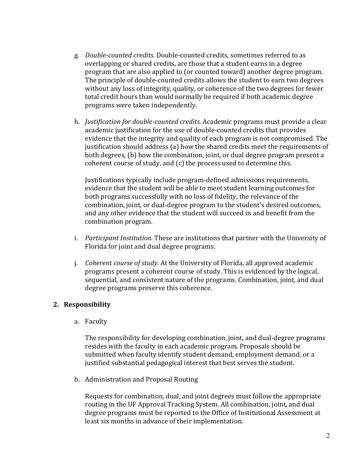- g. *Double-counted credits.* Double-counted credits, sometimes referred to as overlapping or shared credits, are those that a student earns in a degree program that are also applied to (or counted toward) another degree program. The principle of double-counted credits allows the student to earn two degrees without any loss of integrity, quality, or coherence of the two degrees for fewer total credit hours than would normally be required if both academic degree programs were taken independently.
- h. *Justification for double-counted credits.* Academic programs must provide a clear academic justification for the use of double-counted credits that provides evidence that the integrity and quality of each program is not compromised. The justification should address (a) how the shared credits meet the requirements of both degrees, (b) how the combination, joint, or dual degree program present a coherent course of study, and (c) the process used to determine this.

Justifications typically include program-defined admissions requirements, evidence that the student will be able to meet student learning outcomes for both programs successfully with no loss of fidelity, the relevance of the combination, joint, or dual-degree program to the student's desired outcomes, and any other evidence that the student will succeed in and benefit from the combination program.

- i. *Participant Institution.* These are institutions that partner with the University of Florida for joint and dual degree programs.
- j. *Coherent course of study.* At the University of Florida, all approved academic programs present a coherent course of study. This is evidenced by the logical, sequential, and consistent nature of the programs. Combination, joint, and dual degree programs preserve this coherence.

## **2. Responsibility**

a. Faculty

The responsibility for developing combination, joint, and dual-degree programs resides with the faculty in each academic program. Proposals should be submitted when faculty identify student demand, employment demand, or a justified substantial pedagogical interest that best serves the student.

b. Administration and Proposal Routing

Requests for combination, dual, and joint degrees must follow the appropriate routing in the UF Approval Tracking System. All combination, joint, and dual degree programs must be reported to the Office of Institutional Assessment at least six months in advance of their implementation.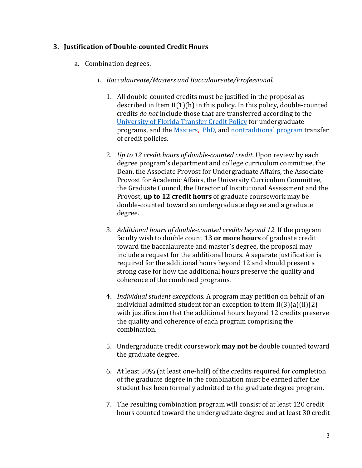### **3. Justification of Double-counted Credit Hours**

- a. Combination degrees.
	- i. *Baccalaureate/Masters and Baccalaureate/Professional*.
		- 1. All double-counted credits must be justified in the proposal as described in Item II(1)(h) in this policy. In this policy, double-counted credits *do not* include those that are transferred according to the [University of Florida Transfer Credit Policy](https://catalog.ufl.edu/UGRD/academic-regulations/registration-policies/#transfercredittext) for undergraduate programs, and the [Masters, PhD,](https://catalog.ufl.edu/graduate/degrees/#text) and [nontraditional program](https://catalog.ufl.edu/graduate/degrees/#text) transfer of credit policies.
		- 2. *Up to 12 credit hours of double-counted credit.* Upon review by each degree program's department and college curriculum committee, the Dean, the Associate Provost for Undergraduate Affairs, the Associate Provost for Academic Affairs, the University Curriculum Committee, the Graduate Council, the Director of Institutional Assessment and the Provost, **up to 12 credit hours** of graduate coursework may be double-counted toward an undergraduate degree and a graduate degree.
		- 3. *Additional hours of double-counted credits beyond 12.* If the program faculty wish to double count **13 or more hours** of graduate credit toward the baccalaureate and master's degree, the proposal may include a request for the additional hours. A separate justification is required for the additional hours beyond 12 and should present a strong case for how the additional hours preserve the quality and coherence of the combined programs.
		- 4. *Individual student exceptions.* A program may petition on behalf of an individual admitted student for an exception to item II(3)(a)(ii)(2) with justification that the additional hours beyond 12 credits preserve the quality and coherence of each program comprising the combination.
		- 5. Undergraduate credit coursework **may not be** double counted toward the graduate degree.
		- 6. At least 50% (at least one-half) of the credits required for completion of the graduate degree in the combination must be earned after the student has been formally admitted to the graduate degree program.
		- 7. The resulting combination program will consist of at least 120 credit hours counted toward the undergraduate degree and at least 30 credit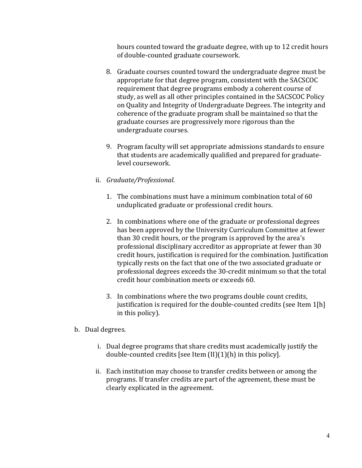hours counted toward the graduate degree, with up to 12 credit hours of double-counted graduate coursework.

- 8. Graduate courses counted toward the undergraduate degree must be appropriate for that degree program, consistent with the SACSCOC requirement that degree programs embody a coherent course of study, as well as all other principles contained in the SACSCOC Policy on Quality and Integrity of Undergraduate Degrees. The integrity and coherence of the graduate program shall be maintained so that the graduate courses are progressively more rigorous than the undergraduate courses.
- 9. Program faculty will set appropriate admissions standards to ensure that students are academically qualified and prepared for graduatelevel coursework.
- ii. *Graduate/Professional.*
	- 1. The combinations must have a minimum combination total of 60 unduplicated graduate or professional credit hours.
	- 2. In combinations where one of the graduate or professional degrees has been approved by the University Curriculum Committee at fewer than 30 credit hours, or the program is approved by the area's professional disciplinary accreditor as appropriate at fewer than 30 credit hours, justification is required for the combination. Justification typically rests on the fact that one of the two associated graduate or professional degrees exceeds the 30-credit minimum so that the total credit hour combination meets or exceeds 60.
	- 3. In combinations where the two programs double count credits, justification is required for the double-counted credits (see Item 1[h] in this policy).
- b. Dual degrees.
	- i. Dual degree programs that share credits must academically justify the double-counted credits [see Item (II)(1)(h) in this policy].
	- ii. Each institution may choose to transfer credits between or among the programs. If transfer credits are part of the agreement, these must be clearly explicated in the agreement.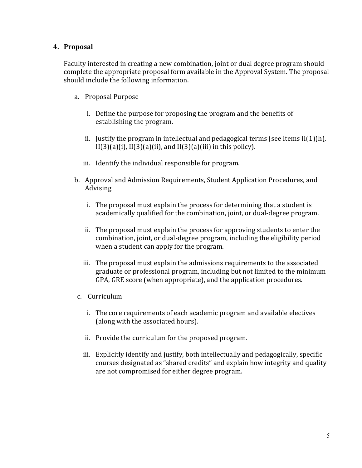#### **4. Proposal**

Faculty interested in creating a new combination, joint or dual degree program should complete the appropriate proposal form available in the Approval System. The proposal should include the following information.

- a. Proposal Purpose
	- i. Define the purpose for proposing the program and the benefits of establishing the program.
	- ii. Justify the program in intellectual and pedagogical terms (see Items  $\text{II}(1)(h)$ ,  $II(3)(a)(i)$ ,  $II(3)(a)(ii)$ , and  $II(3)(a)(iii)$  in this policy).
	- iii. Identify the individual responsible for program.
- b. Approval and Admission Requirements, Student Application Procedures, and Advising
	- i. The proposal must explain the process for determining that a student is academically qualified for the combination, joint, or dual-degree program.
	- ii. The proposal must explain the process for approving students to enter the combination, joint, or dual-degree program, including the eligibility period when a student can apply for the program.
	- iii. The proposal must explain the admissions requirements to the associated graduate or professional program, including but not limited to the minimum GPA, GRE score (when appropriate), and the application procedures.
- c. Curriculum
	- i. The core requirements of each academic program and available electives (along with the associated hours).
	- ii. Provide the curriculum for the proposed program.
	- iii. Explicitly identify and justify, both intellectually and pedagogically, specific courses designated as "shared credits" and explain how integrity and quality are not compromised for either degree program.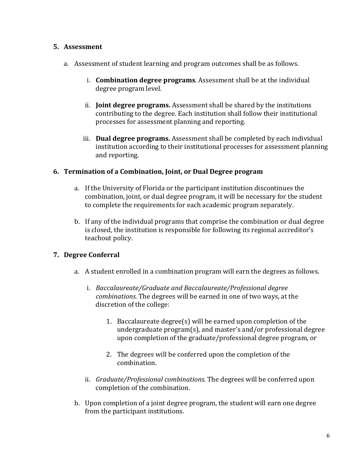### **5. Assessment**

- a. Assessment of student learning and program outcomes shall be as follows.
	- i. **Combination degree programs**. Assessment shall be at the individual degree program level.
	- ii. **Joint degree programs.** Assessment shall be shared by the institutions contributing to the degree. Each institution shall follow their institutional processes for assessment planning and reporting.
	- iii. **Dual degree programs.** Assessment shall be completed by each individual institution according to their institutional processes for assessment planning and reporting.

## **6. Termination of a Combination, Joint, or Dual Degree program**

- a. If the University of Florida or the participant institution discontinues the combination, joint, or dual degree program, it will be necessary for the student to complete the requirements for each academic program separately.
- b. If any of the individual programs that comprise the combination or dual degree is closed, the institution is responsible for following its regional accreditor's teachout policy.

## **7. Degree Conferral**

- a. A student enrolled in a combination program will earn the degrees as follows.
	- i. *Baccalaureate/Graduate and Baccalaureate/Professional degree combinations.* The degrees will be earned in one of two ways, at the discretion of the college:
		- 1. Baccalaureate degree(s) will be earned upon completion of the undergraduate program(s), and master's and/or professional degree upon completion of the graduate/professional degree program, or
		- 2. The degrees will be conferred upon the completion of the combination.
	- ii. *Graduate/Professional combinations.* The degrees will be conferred upon completion of the combination.
- b. Upon completion of a joint degree program, the student will earn one degree from the participant institutions.